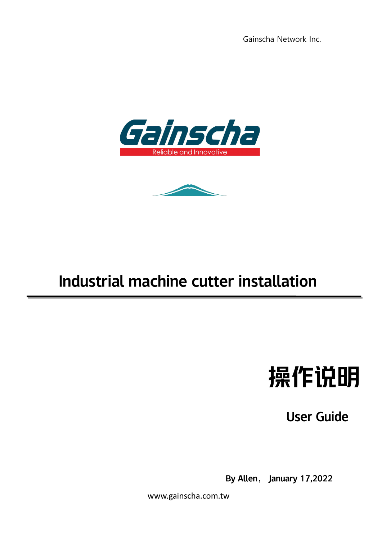



## Industrial machine cutter installation

## 操作说明

User Guide

By Allen, January 17,2022

www.gainscha.com.tw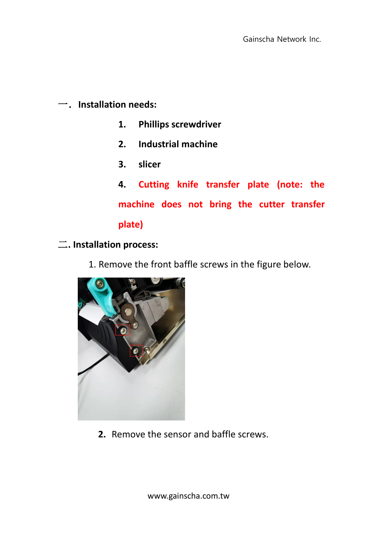一.**Installation needs:**

- **1. Phillips screwdriver**
- **2. Industrial machine**
- **3. slicer**
- **4. Cutting knife transfer plate (note: the machine does not bring the cutter transfer plate)**
- 二**. Installation process:**
	- 1. Remove the front baffle screws in the figure below.



**2.** Remove the sensor and baffle screws.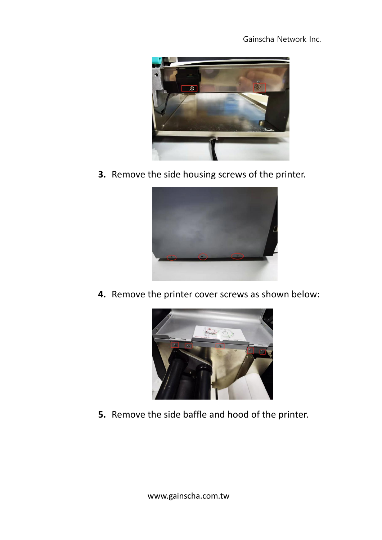

**3.** Remove the side housing screws of the printer.



**4.** Remove the printer cover screws as shown below:



**5.** Remove the side baffle and hood of the printer.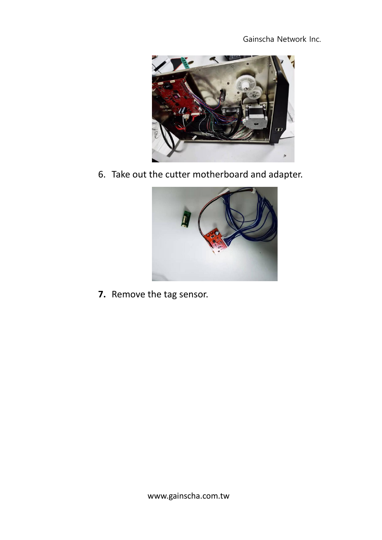

6. Take out the cutter motherboard and adapter.



**7.** Remove the tag sensor.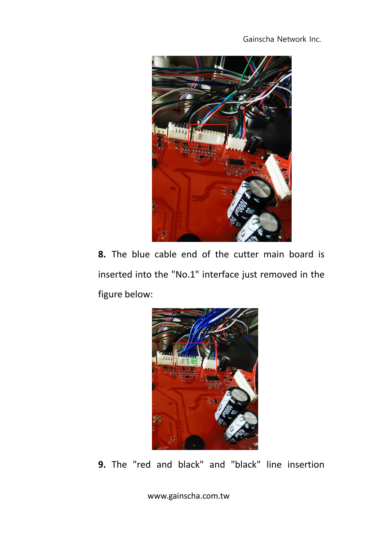

**8.** The blue cable end of the cutter main board is inserted into the "No.1" interface just removed in the figure below:



**9.** The "red and black" and "black" line insertion

www.gainscha.com.tw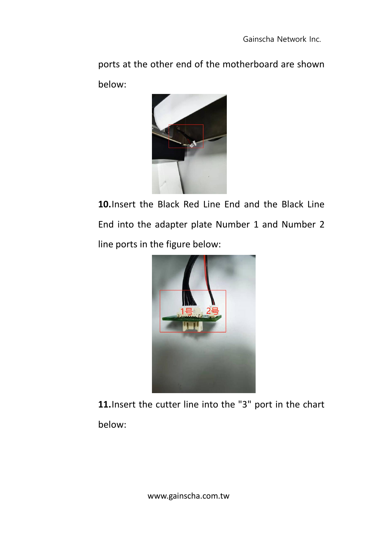ports at the other end of the motherboard are shown below:



**10.**Insert the Black Red Line End and the Black Line End into the adapter plate Number 1 and Number 2 line ports in the figure below:



**11.**Insert the cutter line into the "3" port in the chart below: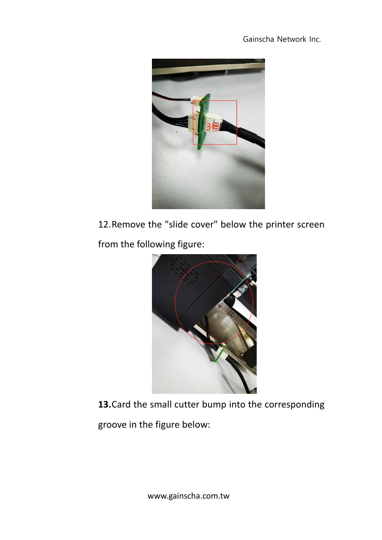

12.Remove the "slide cover" below the printer screen from the following figure:



**13.**Card the small cutter bump into the corresponding

groove in the figure below: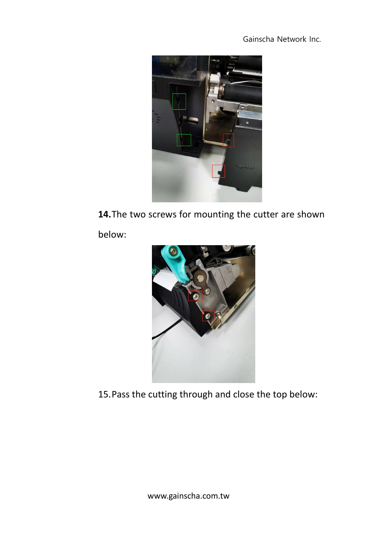

**14.**The two screws for mounting the cutter are shown

below:



15.Pass the cutting through and close the top below: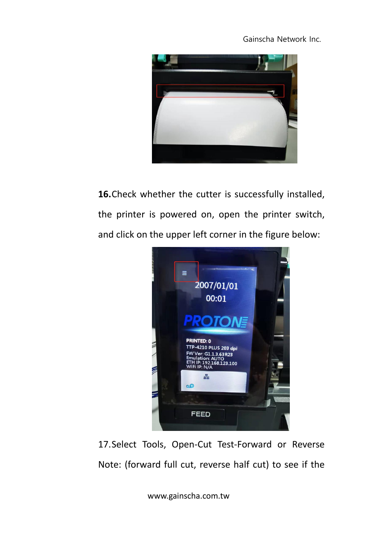

**16.**Check whether the cutter is successfully installed, the printer is powered on, open the printer switch, and click on the upper left corner in the figure below:



17.Select Tools, Open-Cut Test-Forward or Reverse Note: (forward full cut, reverse half cut) to see if the

www.gainscha.com.tw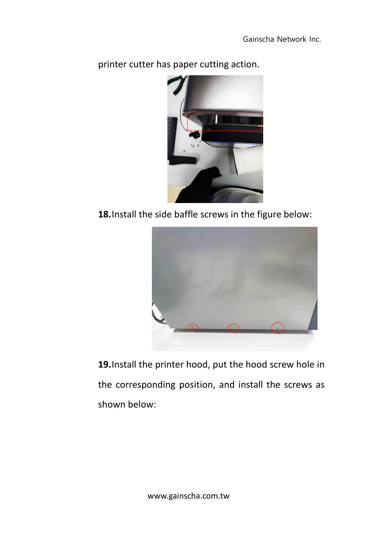

printer cutter has paper cutting action.

**18.**Install the side baffle screws in the figure below:



**19.**Install the printer hood, put the hood screw hole in the corresponding position, and install the screws as shown below: